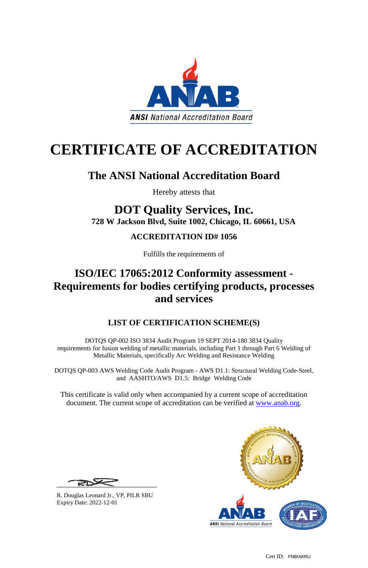Cert ID: FNBIAKRU



# **CERTIFICATE OF ACCREDITATION**

# **The ANSI National Accreditation Board**

Hereby attests that

## **DOT Quality Services, Inc. 728 W Jackson Blvd, Suite 1002, Chicago, IL 60661, USA**

## **ACCREDITATION ID# 1056**

Fulfills the requirements of

# **ISO/IEC 17065:2012 Conformity assessment - Requirements for bodies certifying products, processes and services**

## **LIST OF CERTIFICATION SCHEME(S)**

DOTQS QP-002 ISO 3834 Audit Program 19 SEPT 2014-180 3834 Quality requirements for fusion welding of metallic materials, including Part 1 through Part 6 Welding of Metallic Materials, specifically Arc Welding and Resistance Welding

DOTQS QP-003 AWS Welding Code Audit Program - AWS D1.1: Structural Welding Code-Steel, and AASHTO/AWS D1.5: Bridge Welding Code

This certificate is valid only when accompanied by a current scope of accreditation document. The current scope of accreditation can be verified at [www.anab.org.](http://www.anab.org/)

R. Douglas Leonard Jr., VP, PILR SBU Expiry Date: 2022-12-01

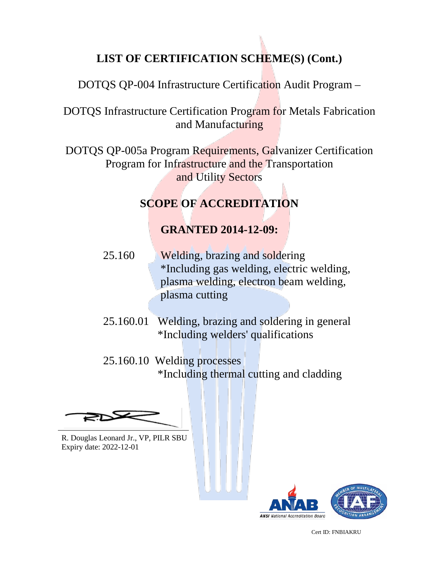## **LIST OF CERTIFICATION SCHEME(S) (Cont.)**

DOTQS QP-004 Infrastructure Certification Audit Program –

DOTQS Infrastructure Certification Program for Metals Fabrication and Manufacturing

DOTQS QP-005a Program Requirements, Galvanizer Certification Program for Infrastructure and the Transportation and Utility Sectors

### **SCOPE OF ACCREDITATION**

#### **GRANTED 2014-12-09:**

- 25.160 Welding, brazing and soldering \*Including gas welding, electric welding, plasma welding, electron beam welding, plasma cutting
- 25.160.01 Welding, brazing and soldering in general \*Including welders' qualifications
- 25.160.10 Welding processes \*Including thermal cutting and cladding

R. Douglas Leonard Jr., VP, PILR SBU Expiry date: 2022-12-01



Cert ID: FNBIAKRU